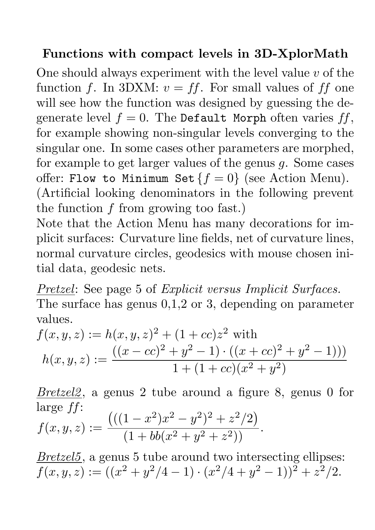## Functions with compact levels in 3D-XplorMath

One should always experiment with the level value *v* of the function *f*. In 3DXM:  $v = ff$ . For small values of *ff* one will see how the function was designed by guessing the degenerate level  $f = 0$ . The Default Morph often varies  $ff$ , for example showing non-singular levels converging to the singular one. In some cases other parameters are morphed, for example to get larger values of the genus *g*. Some cases offer: Flow to Minimum Set  $\{f = 0\}$  (see Action Menu). (Artificial looking denominators in the following prevent the function *f* from growing too fast.)

Note that the Action Menu has many decorations for implicit surfaces: Curvature line fields, net of curvature lines, normal curvature circles, geodesics with mouse chosen initial data, geodesic nets.

*Pretzel*: See page 5 of *Explicit versus Implicit Surfaces.* The surface has genus 0,1,2 or 3, depending on parameter values.

$$
f(x, y, z) := h(x, y, z)^{2} + (1 + cc)z^{2}
$$
 with  

$$
h(x, y, z) := \frac{((x - cc)^{2} + y^{2} - 1) \cdot ((x + cc)^{2} + y^{2} - 1))}{1 + (1 + cc)(x^{2} + y^{2})}
$$

*Bretzel2*, a genus 2 tube around a figure 8, genus 0 for large *ff*:  $f(x, y, z) :=$  $(( (1-x^2)x^2-y^2)^2+z^2/2)$  $\frac{(-1 + bb(x^2 + y^2 + z^2))}{(1 + bb(x^2 + y^2 + z^2))}$ .

*Bretzel5*, a genus 5 tube around two intersecting ellipses:  $f(x, y, z) := ((x^2 + y^2/4 - 1) \cdot (x^2/4 + y^2 - 1))^2 + z^2/2.$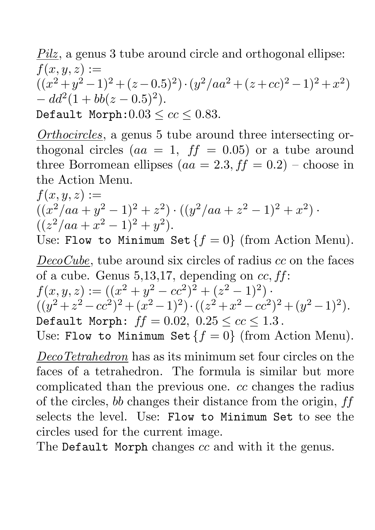*Pilz*, a genus 3 tube around circle and orthogonal ellipse:  $f(x, y, z) :=$  $((x^{2}+y^{2}-1)^{2}+(z-0.5)^{2})\cdot(y^{2}/aa^{2}+(z+cc)^{2}-1)^{2}+x^{2})$  $-dd^{2}(1 + bb(z - 0.5)^{2}).$ Default Morph: $0.03 \leq cc \leq 0.83$ .

*Orthocircles*, a genus 5 tube around three intersecting orthogonal circles ( $aa = 1$ ,  $ff = 0.05$ ) or a tube around three Borromean ellipses  $(aa = 2.3, ff = 0.2)$  – choose in the Action Menu.

$$
f(x, y, z) :=
$$
  
\n
$$
((x^{2}/aa + y^{2} - 1)^{2} + z^{2}) \cdot ((y^{2}/aa + z^{2} - 1)^{2} + x^{2}) \cdot
$$
  
\n
$$
((z^{2}/aa + x^{2} - 1)^{2} + y^{2}).
$$

Use: Flow to Minimum Set  $\{f = 0\}$  (from Action Menu).

*DecoCube*, tube around six circles of radius *cc* on the faces of a cube. Genus 5,13,17, depending on *cc, ff*:

 $f(x, y, z) := ((x^2 + y^2 - cc^2)^2 + (z^2 - 1)^2)$  $((y^2 + z^2 - cc^2)^2 + (x^2 - 1)^2) \cdot ((z^2 + x^2 - cc^2)^2 + (y^2 - 1)^2).$ Default Morph:  $ff = 0.02, 0.25 \leq cc \leq 1.3$ .

Use: Flow to Minimum Set  $\{f = 0\}$  (from Action Menu).

*DecoTetrahedron* has as its minimum set four circles on the faces of a tetrahedron. The formula is similar but more complicated than the previous one. *cc* changes the radius of the circles, *bb* changes their distance from the origin, *ff* selects the level. Use: Flow to Minimum Set to see the circles used for the current image.

The Default Morph changes *cc* and with it the genus.